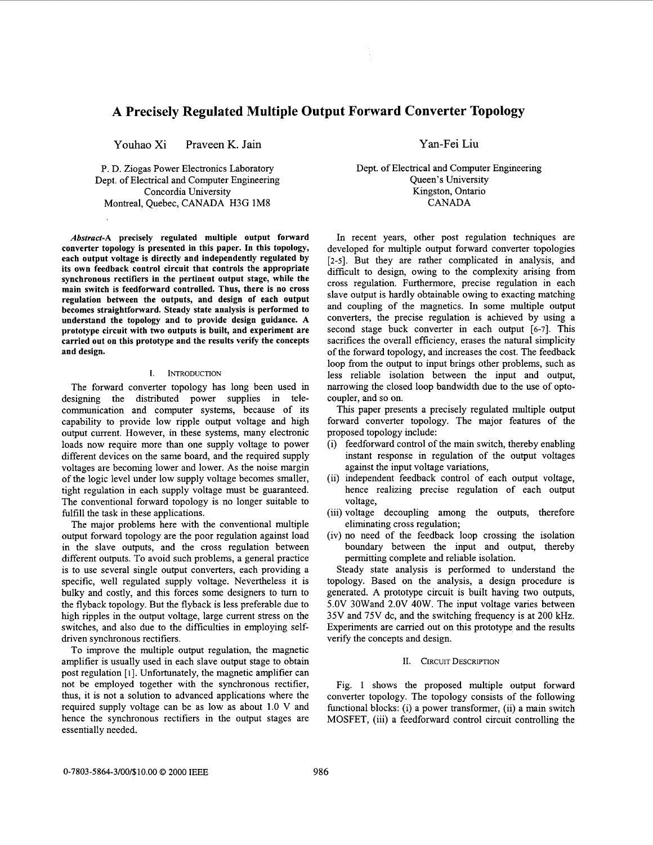# **A Precisely Regulated Multiple Output Forward Converter Topology**

Youhao **Xi** Praveen K. Jain

P. D. Ziogas Power Electronics Laboratory Dept. of Electrical and Computer Engineering Concordia University Montreal, Quebec, CANADA H3G 1M8

*Abstract-A* **precisely regulated multiple output forward converter topology is presented in this paper. In this topology, each output voltage is directly and independently regulated by its own feedback control circuit that controls the appropriate synchronous rectifiers in the pertinent output stage, while the main switch is feedforward controlled. Thus, there is no cross regulation between the outputs, and design of each output becomes straightforward. Steady state analysis is performed to understand the topology and to provide design guidance.** *A*  **prototype circuit with two outputs is built, and experiment are carried out on this prototype and the results verify the concepts and design.** 

## I. INTRODUCTION

The forward converter topology has long been used in designing the distributed power supplies in telecommunication and computer systems, because of its capability to provide low ripple output voltage and high output current. However, in these systems, many electronic loads now require more than one supply voltage to power different devices on the same board, and the required supply voltages are becoming lower and lower. As the noise margin of the logic level under low supply voltage becomes smaller, tight regulation in each supply voltage must be guaranteed. The conventional forward topology is no longer suitable to fulfill the task in these applications.

The major problems here with the conventional multiple output forward topology are the poor regulation against load in the slave outputs, and the cross regulation between different outputs. To avoid such problems, a general practice is to use several single output converters, each providing a specific, well regulated supply voltage. Nevertheless it is bulky and costly, and this forces some designers to turn to the flyback topology. But the flyback is less preferable due to high ripples in the output voltage, large current stress on the switches, and also due to the difficulties in employing selfdriven synchronous rectifiers.

**To** improve the multiple output regulation, the magnetic amplifier is usually used in each slave output stage to obtain post regulation [ 11. Unfortunately, the magnetic amplifier can not be employed together with the synchronous rectifier, thus, it is not a solution to advanced applications where the required supply voltage can be as low as about 1.0 V and hence the synchronous rectifiers in the output stages are essentially needed.

Yan-Fei Liu

Dept. of Electrical and Computer Engineering Queen's University Kingston, Ontario CANADA

In recent years, other post regulation techniques are developed for multiple output forward converter topologies **[2-51.** But they are rather complicated in analysis, and difficult to design, owing to the complexity arising from cross regulation. Furthermore, precise regulation in each slave output is hardly obtainable owing to exacting matching and coupling of the magnetics. In some multiple output converters, the precise regulation is acheved by using a second stage buck converter in each output [6-7]. This sacrifices the overall efficiency, erases the natural simplicity of the forward topology, and increases the cost. The feedback loop from the output to input brings other problems, such as less reliable isolation between the input and output, narrowing the closed loop bandwidth due to the use of optocoupler, and so on.

This paper presents a precisely regulated multiple output forward converter topology. The major features of the proposed topology include:

- (i) feedforward control of the main switch, thereby enabling instant response in regulation of the output voltages against the input voltage variations,
- (ii) independent feedback control of each output voltage, hence realizing precise regulation of each output voltage,
- (iii) voltage decoupling among the outputs, therefore eliminating cross regulation;
- (iv) no need of the feedback loop crossing the isolation boundary between the input and output, thereby permitting complete and reliable isolation.

Steady state analysis is performed to understand the topology. Based on the analysis, a design procedure is generated. **A** prototype circuit is built having two outputs, 5.0V 30Wand 2.0V 40W. The input voltage varies between 35V and 75V dc, and the switching frequency is at 200 **kHz.**  Experiments are carried out on this prototype and the results verify the concepts and design.

#### 11. CIRCUIT DESCRIPTION

[Fig. 1](#page-1-0) shows the proposed multiple output forward converter topology. The topology consists of the following functional blocks: (i) a power transformer, (ii) a main switch MOSFET, (iii) a feedforward control circuit controlling the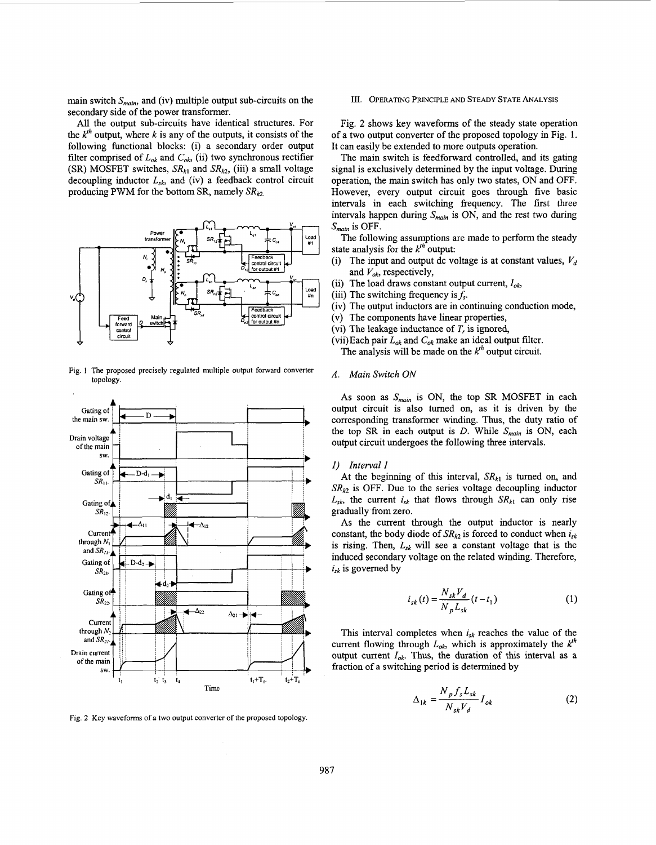<span id="page-1-0"></span>main switch  $S_{main}$ , and (iv) multiple output sub-circuits on the secondary side of the power transformer.

All the output sub-circuits have identical structures. For the  $k^{\prime\prime}$  output, where k is any of the outputs, it consists of the following functional blocks: (i) a secondary order output filter comprised of  $L_{ok}$  and  $C_{ok}$ , (ii) two synchronous rectifier (SR) MOSFET switches,  $SR_{k1}$  and  $SR_{k2}$ , (iii) a small voltage decoupling inductor  $L_{sk}$ , and (iv) a feedback control circuit producing PWM for the bottom SR, namely *sRk2.* 



**Fig. 1** The **proposed precisely regulated multiple output forward converter topology.** 



111. **OPERATING PRINCIPLE AND STEADY STATE ANALYSIS** 

Fig. 2 shows key waveforms of the steady state operation of a two output converter of the proposed topology in Fig. 1. It can easily be extended to more outputs operation.

The main switch is feedforward controlled, and its gating signal is exclusively determined by the input voltage. During operation, the main switch has only two states, ON and OFF. However, every output circuit goes through five basic intervals in each switching frequency. The first three intervals happen during  $S_{main}$  is ON, and the rest two during *Smuin* is OFF.

The following assumptions are made to perform the steady state analysis for the  $k^{th}$  output:

- (i) The input and output dc voltage is at constant values,  $V_d$ and  $V_{ok}$ , respectively,
- (ii) The load draws constant output current,  $I_{ok}$ ,
- (iii) The switching frequency is  $f_s$ .
- (iv) The output inductors are in continuing conduction mode,
- (v) The components have linear properties,
- (vi) The leakage inductance of *T,* is ignored,
- (vii) Each pair  $L_{ok}$  and  $C_{ok}$  make an ideal output filter. The analysis will be made on the  $k<sup>th</sup>$  output circuit.
- *A. Main Switch ON*

As soon as *Smuin* is ON, the top SR MOSFET in each output circuit is also turned on, as it is driven by the corresponding transformer winding. Thus, the duty ratio of the top SR in each output is *D.* While *Smuin* is ON, each output circuit undergoes the following three intervals.

### *I) Interval 1*

At the beginning of this interval,  $SR_{k1}$  is turned on, and *SRk2* is OFF. Due to the series voltage decoupling inductor  $L_{sk}$ , the current  $i_{sk}$  that flows through  $SR_{k1}$  can only rise gradually from zero.

As the current through the output inductor is nearly constant, the body diode of  $SR_{k2}$  is forced to conduct when  $i_{sk}$ is rising. Then, *Lsk* will see a constant voltage that is the induced secondary voltage on the related winding. Therefore, *isk* is governed by through the output in<br>diode of  $SR_{k2}$  is forced to<br>*k* will see a constant ve<br>voltage on the related wi<br> $i_{sk}(t) = \frac{N_{sk} V_d}{N_p L_{sk}} (t - t_1)$ 

$$
i_{sk}(t) = \frac{N_{sk}V_d}{N_p L_{sk}}(t - t_1)
$$
 (1)

This interval completes when *isk* reaches the value of the current flowing through  $L_{ok}$ , which is approximately the  $k^m$ output current  $I_{ok}$ . Thus, the duration of this interval as a fraction of a switching period is determined by

$$
\Delta_{1k} = \frac{N_p f_s L_{sk}}{N_{sk} V_d} I_{ok} \tag{2}
$$

**Fig. 2 Key waveforms** of **a** *two* **output converter of the proposed topology.**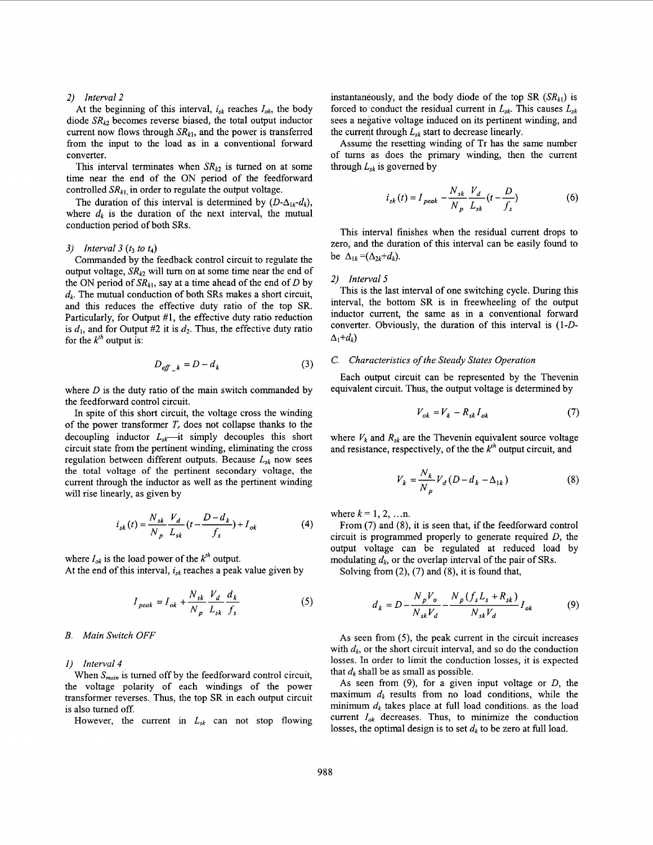#### *2) Interval 2*

At the beginning of this interval,  $i_{sk}$  reaches  $I_{ok}$ , the body diode *SRk2* becomes reverse biased, the total output inductor current now flows through  $SR_{k1}$ , and the power is transferred from the input to the load as in a conventional forward converter.

This interval terminates when  $SR_{k2}$  is turned on at some time near the end of the ON period of the feedforward controlled  $SR_{k1}$  in order to regulate the output voltage.

The duration of this interval is determined by  $(D-\Delta_{1k}-d_k)$ , where  $d_k$  is the duration of the next interval, the mutual conduction period of both SRs.

# *3*) *Interval 3* (*t<sub>3</sub> to t<sub>4</sub>)*

Commanded by the feedback control circuit to regulate the output voltage, *SRk2* will turn on at some time near the end of the ON period of  $SR_{k1}$ , say at a time ahead of the end of *D* by  $d_k$ . The mutual conduction of both SRs makes a short circuit, and this reduces the effective duty ratio of the top SR. Particularly, for Output #1, the effective duty ratio reduction is  $d_1$ , and for Output #2 it is  $d_2$ . Thus, the effective duty ratio for the  $k^{\prime n}$  output is:

$$
D_{\text{eff}\_\,k} = D - d_k \tag{3}
$$

where *D* is the duty ratio of the main switch commanded by the feedforward control circuit.

In spite of this short circuit, the voltage cross the winding of the power transformer *T,* does not collapse thanks to the decoupling inductor  $L_{sk}$ —it simply decouples this short circuit state from the pertinent winding, eliminating the cross regulation between different outputs. Because *Lsk* now sees the total voltage of the pertinent secondary voltage, the current through the inductor as well as the pertinent winding will rise linearly, as given by

$$
i_{sk}(t) = \frac{N_{sk}}{N_p} \frac{V_d}{L_{sk}} (t - \frac{D - d_k}{f_s}) + I_{ok}
$$
 (4)

where  $I_{ok}$  is the load power of the  $k^{th}$  output.

At the end of this interval,  $i_{sk}$  reaches a peak value given by

$$
I_{peak} = I_{ok} + \frac{N_{sk}}{N_p} \frac{V_d}{L_{sk}} \frac{d_k}{f_s}
$$
 (5)

# *B. Main Switch OFF*

# *I) Interval 4*

When *S<sub>main</sub>* is turned off by the feedforward control circuit, the voltage polarity of each windings of the power transformer reverses. Thus, the top SR in each output circuit is also turned off.

However, the current in  $L_{sk}$  can not stop flowing

instantaneously, and the body diode of the top SR  $(SR_{k_1})$  is forced to conduct the residual current in  $L_{sk}$ . This causes  $L_{sk}$ sees a negative voltage induced on its pertinent winding, and the current through *Lsk* start to decrease linearly.

Assume the resetting winding of Tr has the same number of turns as does the primary winding, then the current through *Lsk* is governed by

$$
i_{sk}(t) = I_{peak} - \frac{N_{sk}}{N_p} \frac{V_d}{L_{sk}} (t - \frac{D}{f_s})
$$
 (6)

This interval finishes when the residual current drops to zero, and the duration of this interval can be easily found to be  $\Delta_{1k} = (\Delta_{2k} + d_k)$ .

# *2) Interval 5*

This is the last interval of one switching cycle. During this interval, the bottom SR is in freewheeling of the output inductor current, the same as in a conventional forward converter. Obviously, the duration of this interval is *(1-D-* $\Delta_1 + d_k$ 

#### C. *Characteristics of the Steady States Operation*

Each output circuit can be represented by the Thevenin equivalent circuit. Thus, the output voltage is determined by

$$
V_{ok} = V_k - R_{sk} I_{ok} \tag{7}
$$

where  $V_k$  and  $R_{sk}$  are the Thevenin equivalent source voltage and resistance, respectively, of the the  $k<sup>th</sup>$  output circuit, and

$$
V_{k} = \frac{N_{k}}{N_{p}} V_{d} (D - d_{k} - \Delta_{1k})
$$
 (8)

where  $k = 1, 2, ...$ n.

From (7) and (8), it is seen that, if the feedforward control circuit is programmed properly to generate required *D,* the output voltage can be regulated at reduced load by modulating  $d_k$ , or the overlap interval of the pair of SRs. Solving from  $(2)$ ,  $(7)$  and  $(8)$ , it is found that,

$$
d_k = D - \frac{N_p V_o}{N_{sk} V_d} - \frac{N_p (f_s L_s + R_{sk})}{N_{sk} V_d} I_{ok}
$$
(9)

As seen from *(5),* the peak current in the circuit increases with  $d_k$ , or the short circuit interval, and so do the conduction losses. In order to limit the conduction losses, it is expected that  $d_k$  shall be as small as possible.

As seen from (9), for a given input voltage or *D,* the maximum  $d_k$  results from no load conditions, while the minimum  $d_k$  takes place at full load conditions. as the load current *Iok* decreases. Thus, to minimize the conduction losses, the optimal design is to set  $d_k$  to be zero at full load.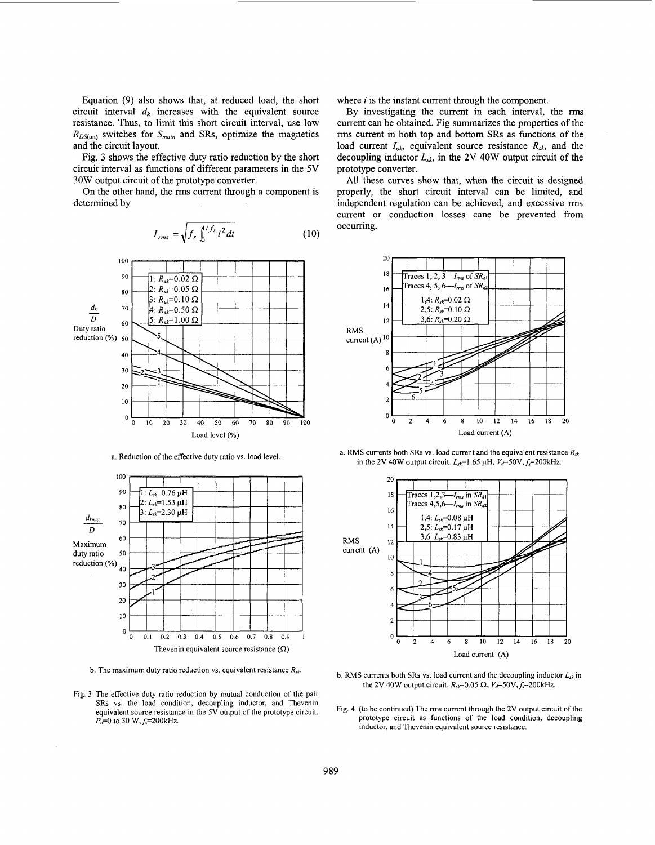Equation (9) also shows that, at reduced load, the short circuit interval  $d_k$  increases with the equivalent source resistance. Thus, to limit this short circuit interval, use low  $R_{DS(on)}$  switches for  $S_{main}$  and SRs, optimize the magnetics and the circuit layout.

Fig. 3 shows the effective duty ratio reduction by the short circuit interval as functions of different parameters in the 5V 30W output circuit of the prototype converter.

On the other hand, the rms current through a component is determined by

$$
I_{rms} = \sqrt{f_s \int_0^{t/f_s} i^2 dt}
$$
 (10)





**b.** The maximum duty ratio reduction vs. equivalent resistance  $R_{sk}$ .

Fig. 3 The effective duty ratio reduction by mutual conduction of the pair SRs vs. the load condition, decoupling inductor, and Thevenin equivalent source resistance in the **5V** output of the prototype circuit. *P,=O* to 30 **W,f;=ZOOkHz.** 

where *i* is the instant current through the component.

By investigating the current in each interval, the rms current can be obtained. Fig summarizes the properties of the rms current in both top and bottom SRs as functions of the load current *Iok,* equivalent source resistance *Rsk,* and the decoupling inductor *Lsk,* in the 2V **40W** output circuit of the prototype converter.

All these curves show that, when the circuit is designed properly, the short circuit interval can be limited, and independent regulation can be achieved, and excessive rms current or conduction losses cane be prevented fiom occurring.



a. RMS currents both SRs vs. load current and the equivalent resistance  $R_{sk}$ a. Reduction of the effective duty ratio vs. load level.<br>in the 2V 40W output circuit. *L<sub>3k</sub>*=1.65 µH, V<sub>d</sub>=50V, f<sub>3</sub>=200kHz.



- b. RMS currents both SRs vs. load current and the decoupling inductor *Lsk* in the 2V 40W output circuit.  $R_{sk}=0.05 \Omega$ ,  $V_d=50V$ ,  $f_s=200kHz$ .
- [Fig.](#page-4-0) **4** (to be continued) **The** rms current through the **2V** output circuit of the prototype circuit as functions of the load condition, decoupling inductor, and Thevenin equivalent source resistance.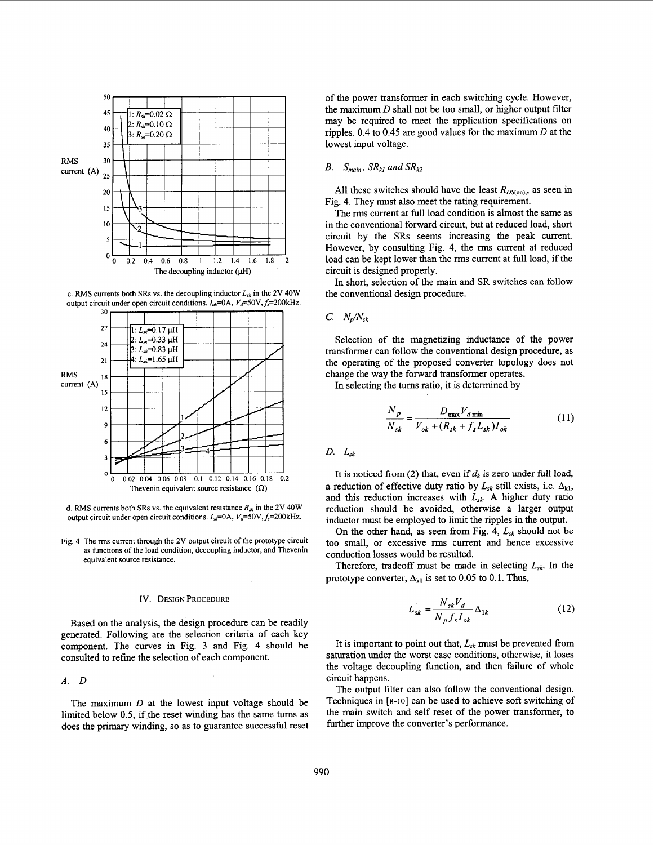<span id="page-4-0"></span>

c. **RMS** currents both SRs vs. the decoupling inductor  $L_{sk}$  in the 2V 40W output circuit under open circuit conditions.  $I_{ok}$ =0A,  $V_d$ =50V,  $f_s$ =200kHz.



d. **RMS** currents both SRs vs. the equivalent resistance  $R_{sk}$  in the 2V 40W output circuit under open circuit conditions.  $I_{ok}$ =0A,  $V_d$ =50V, $f_s$ =200kHz.

Fig. 4 The rms current through the **2V** output circuit of the prototype circuit as functions of the load condition, decoupling inductor, and Thevenin equivalent source resistance.

### IV. **DESIGN** PROCEDURE

Based on the analysis, the design procedure can be readily generated. Following are the selection criteria of each key component. The curves in Fig. **3** and Fig. 4 should be consulted to refine the selection of each component.

*A. D* 

The maximum *D* at the lowest input voltage should be limited below 0.5, if the reset winding has the same turns as does the primary winding, so as to guarantee successful reset of the power transformer in each switching cycle. However, the maximum *D* shall not be too small, or higher output filter may be required to meet the application specifications on ripples. 0.41 to 0.45 are good values for the maximum *D* at the lowest input voltage.

# B.  $S_{main}$ ,  $SR_{kl}$  and  $SR_{k2}$

All these switches should have the least  $R_{DS(on)}$ , as seen in Fig. 4. They must also meet the rating requirement.

The rms current at full load condition is almost the same as in the conventional forward circuit, but at reduced load, short circuit by the SRs seems increasing the peak current. However, by consulting Fig. 4, the rms current at reduced load can be kept lower than the rms current at full load, if the circuit is designed properly.

In short, selection of the main and SR switches can follow the conventional design procedure.

# $C. N_p/N_{sk}$

Selection of the magnetizing inductance of the power transformer can follow the conventional design procedure, as the operating of the proposed converter topology does not change the way the forward transformer operates.

In selecting the turns ratio, it is determined by

$$
\frac{N_p}{N_{sk}} = \frac{D_{\text{max}} V_{d \text{ min}}}{V_{ok} + (R_{sk} + f_s L_{sk}) I_{ok}}
$$
(11)

 $D.$   $L_{sk}$ 

It is noticed from (2) that, even if  $d_k$  is zero under full load, a reduction of effective duty ratio by  $L_{sk}$  still exists, i.e.  $\Delta_{kl}$ , and this reduction increases with  $L_{sk}$ . A higher duty ratio reduction should be avoided, otherwise a larger output inductor must be employed to limit the ripples in the output.

On the other hand, as seen from Fig. 4, *Lsk* should not be **too** small, or excessive rms current and hence excessive conduction losses would be resulted.

Therefore, tradeoff must be made **in** selecting *Lsk.* In the prototype converter,  $\Delta_{k1}$  is set to 0.05 to 0.1. Thus,

$$
L_{sk} = \frac{N_{sk}V_d}{N_p f_s I_{ok}} \Delta_{1k} \tag{12}
$$

It is important to point out that, *Lsk* must be prevented from saturation under the worst case conditions, otherwise, it loses the voltage decoupling function, and then failure of whole circuit happens.

The output filter can also follow the conventional design. Techniques in [8-10] can be used to achieve soft switching of the main switch and self reset of the power transformer, to further improve the converter's performance.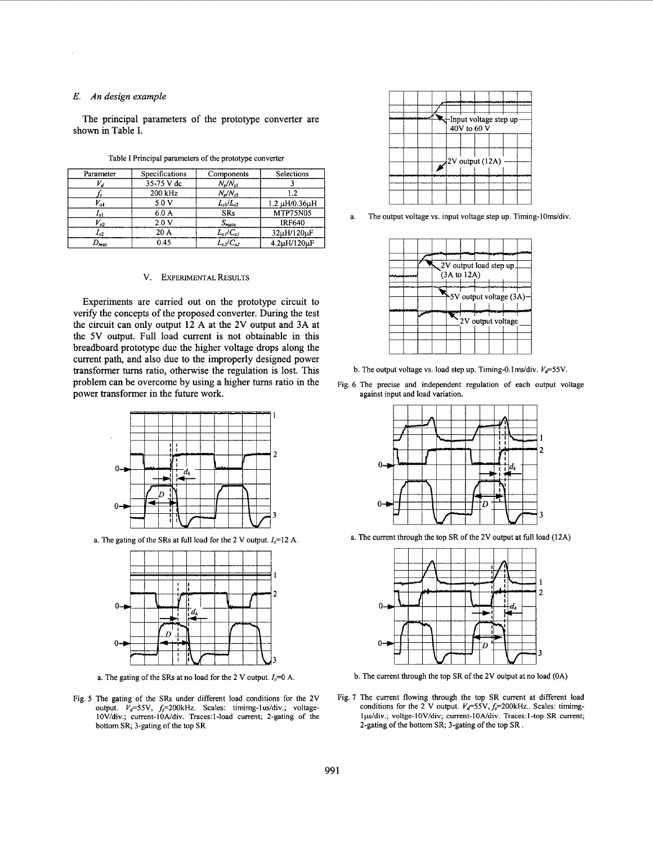# <span id="page-5-0"></span>*E. An design example*

The principal parameters of the prototype converter are shown in Table I.

| Parameter | Specifications | Components      | Selections      |
|-----------|----------------|-----------------|-----------------|
| r d       | 35-75 V dc     | $N_r/N_{s1}$    |                 |
|           | 200 kHz        | $N_p/N_{s2}$    | 1.2             |
| $V_{o1}$  | 5.0 V          | $L_{s1}/L_{s2}$ | 1.2 μH/0.36μH   |
| اها       | 6.0A           | <b>SRs</b>      | <b>MTP75N05</b> |
| $V_{o2}$  | 2.0V           | $S_{main}$      | <b>IRF640</b>   |
| $I_{o2}$  | 20 A           | $L_o/C_{ol}$    | 32uH/120uF      |
| $J_{max}$ | 0.45           | $L_{o2}/C_{o2}$ | 4.2uH/120uF     |

Table **I** Principal parameters of the prototype converter

#### **V.** EXPERIMENTAL RESULTS

Experiments are carried out on the prototype circuit to verify the concepts of the proposed converter. During the test the circuit can only output **12 A** at the **2V** output and **3A** at the **5V** output. Full load current is not obtainable in this breadboard prototype due the higher voltage drops along the current path, and also due to the improperly designed power transformer turns ratio, otherwise the regulation is lost. This problem can be overcome by using a higher turns ratio in the power transformer in the future work.



a. The gating of the SRs at full load for the  $2$  V output.  $I_o$ =12 A.



a. The gating of the **SRs** at no load for the 2 V output. *I,=O* **A.** 

Fig. **5**  The gating of the **SRs** under different load conditions for the 2V output.  $V_d$ =55V,  $f_s$ =200kHz. Scales: timimg-lus/div.; voltage-10Vldiv.; current-l0Ndiv. Traces:l-load current; 2-gating of the bottom **SR,** 3-gating of the top SR



a. The output voltage vs. input voltage step up. Timing-10ms/div.



b. The output voltage vs. load step up. Timing-0.1ms/div.  $V_d$ =55V.

Fig. **6** The precise and independent regulation of each output voltage against input and load variation.



a. The current through the top SR of the 2V output at full load **(12A)** 



b. The current through the top SR of the 2V output at no load **(OA)** 

Fig. **7** The current flowing through the top SR current at different load conditions for the 2 V output.  $V_d$ =55V,  $f_s$ =200kHz.. Scales: timimglµs/div.; voltge-l0V/div; current-10A/div. Traces:1-top SR current; 2-gating of the bottom **SR** 3-gating of the top SR .